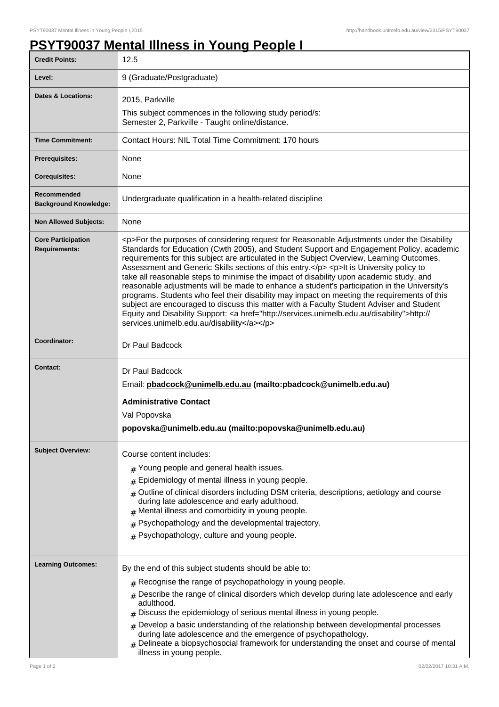## **PSYT90037 Mental Illness in Young People I**

| <b>Credit Points:</b>                             | 12.5                                                                                                                                                                                                                                                                                                                                                                                                                                                                                                                                                                                                                                                                                                                                                                                                                                                                                                                         |
|---------------------------------------------------|------------------------------------------------------------------------------------------------------------------------------------------------------------------------------------------------------------------------------------------------------------------------------------------------------------------------------------------------------------------------------------------------------------------------------------------------------------------------------------------------------------------------------------------------------------------------------------------------------------------------------------------------------------------------------------------------------------------------------------------------------------------------------------------------------------------------------------------------------------------------------------------------------------------------------|
| Level:                                            | 9 (Graduate/Postgraduate)                                                                                                                                                                                                                                                                                                                                                                                                                                                                                                                                                                                                                                                                                                                                                                                                                                                                                                    |
| <b>Dates &amp; Locations:</b>                     | 2015, Parkville                                                                                                                                                                                                                                                                                                                                                                                                                                                                                                                                                                                                                                                                                                                                                                                                                                                                                                              |
|                                                   | This subject commences in the following study period/s:<br>Semester 2, Parkville - Taught online/distance.                                                                                                                                                                                                                                                                                                                                                                                                                                                                                                                                                                                                                                                                                                                                                                                                                   |
| <b>Time Commitment:</b>                           | Contact Hours: NIL Total Time Commitment: 170 hours                                                                                                                                                                                                                                                                                                                                                                                                                                                                                                                                                                                                                                                                                                                                                                                                                                                                          |
| <b>Prerequisites:</b>                             | None                                                                                                                                                                                                                                                                                                                                                                                                                                                                                                                                                                                                                                                                                                                                                                                                                                                                                                                         |
| <b>Corequisites:</b>                              | None                                                                                                                                                                                                                                                                                                                                                                                                                                                                                                                                                                                                                                                                                                                                                                                                                                                                                                                         |
| Recommended<br><b>Background Knowledge:</b>       | Undergraduate qualification in a health-related discipline                                                                                                                                                                                                                                                                                                                                                                                                                                                                                                                                                                                                                                                                                                                                                                                                                                                                   |
| <b>Non Allowed Subjects:</b>                      | None                                                                                                                                                                                                                                                                                                                                                                                                                                                                                                                                                                                                                                                                                                                                                                                                                                                                                                                         |
| <b>Core Participation</b><br><b>Requirements:</b> | <p>For the purposes of considering request for Reasonable Adjustments under the Disability<br/>Standards for Education (Cwth 2005), and Student Support and Engagement Policy, academic<br/>requirements for this subject are articulated in the Subject Overview, Learning Outcomes,<br/>Assessment and Generic Skills sections of this entry.</p> <p>lt is University policy to<br/>take all reasonable steps to minimise the impact of disability upon academic study, and<br/>reasonable adjustments will be made to enhance a student's participation in the University's<br/>programs. Students who feel their disability may impact on meeting the requirements of this<br/>subject are encouraged to discuss this matter with a Faculty Student Adviser and Student<br/>Equity and Disability Support: &lt; a href="http://services.unimelb.edu.au/disability"&gt;http://<br/>services.unimelb.edu.au/disability</p> |
| Coordinator:                                      | Dr Paul Badcock                                                                                                                                                                                                                                                                                                                                                                                                                                                                                                                                                                                                                                                                                                                                                                                                                                                                                                              |
| <b>Contact:</b>                                   | Dr Paul Badcock<br>Email: pbadcock@unimelb.edu.au (mailto:pbadcock@unimelb.edu.au)<br><b>Administrative Contact</b><br>Val Popovska<br>popovska@unimelb.edu.au (mailto:popovska@unimelb.edu.au)                                                                                                                                                                                                                                                                                                                                                                                                                                                                                                                                                                                                                                                                                                                              |
| <b>Subject Overview:</b>                          | Course content includes:                                                                                                                                                                                                                                                                                                                                                                                                                                                                                                                                                                                                                                                                                                                                                                                                                                                                                                     |
|                                                   | # Young people and general health issues.                                                                                                                                                                                                                                                                                                                                                                                                                                                                                                                                                                                                                                                                                                                                                                                                                                                                                    |
|                                                   | Epidemiology of mental illness in young people.<br>#                                                                                                                                                                                                                                                                                                                                                                                                                                                                                                                                                                                                                                                                                                                                                                                                                                                                         |
|                                                   | $#$ Outline of clinical disorders including DSM criteria, descriptions, aetiology and course<br>during late adolescence and early adulthood.<br>Mental illness and comorbidity in young people.<br>#<br>Psychopathology and the developmental trajectory.<br>$\#$<br>$#$ Psychopathology, culture and young people.                                                                                                                                                                                                                                                                                                                                                                                                                                                                                                                                                                                                          |
| <b>Learning Outcomes:</b>                         |                                                                                                                                                                                                                                                                                                                                                                                                                                                                                                                                                                                                                                                                                                                                                                                                                                                                                                                              |
|                                                   | By the end of this subject students should be able to:<br>$#$ Recognise the range of psychopathology in young people.                                                                                                                                                                                                                                                                                                                                                                                                                                                                                                                                                                                                                                                                                                                                                                                                        |
|                                                   | $_{\#}$ Describe the range of clinical disorders which develop during late adolescence and early<br>adulthood.<br>Discuss the epidemiology of serious mental illness in young people.<br>$#$ Develop a basic understanding of the relationship between developmental processes                                                                                                                                                                                                                                                                                                                                                                                                                                                                                                                                                                                                                                               |
|                                                   | during late adolescence and the emergence of psychopathology.<br>Delineate a biopsychosocial framework for understanding the onset and course of mental<br>illness in young people.                                                                                                                                                                                                                                                                                                                                                                                                                                                                                                                                                                                                                                                                                                                                          |